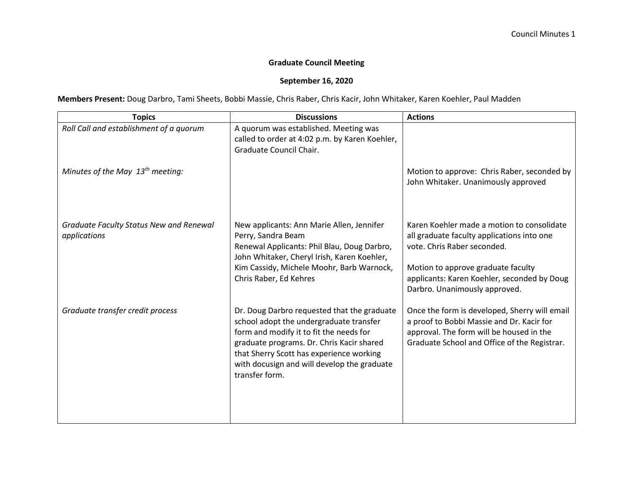## **Graduate Council Meeting**

## **September 16, 2020**

**Members Present:** Doug Darbro, Tami Sheets, Bobbi Massie, Chris Raber, Chris Kacir, John Whitaker, Karen Koehler, Paul Madden

| <b>Topics</b>                                                  | <b>Discussions</b>                                                                                                                                                                                                                                                                          | <b>Actions</b>                                                                                                                                                                                                                                |
|----------------------------------------------------------------|---------------------------------------------------------------------------------------------------------------------------------------------------------------------------------------------------------------------------------------------------------------------------------------------|-----------------------------------------------------------------------------------------------------------------------------------------------------------------------------------------------------------------------------------------------|
| Roll Call and establishment of a quorum                        | A quorum was established. Meeting was<br>called to order at 4:02 p.m. by Karen Koehler,<br>Graduate Council Chair.                                                                                                                                                                          |                                                                                                                                                                                                                                               |
| Minutes of the May $13th$ meeting:                             |                                                                                                                                                                                                                                                                                             | Motion to approve: Chris Raber, seconded by<br>John Whitaker. Unanimously approved                                                                                                                                                            |
| <b>Graduate Faculty Status New and Renewal</b><br>applications | New applicants: Ann Marie Allen, Jennifer<br>Perry, Sandra Beam<br>Renewal Applicants: Phil Blau, Doug Darbro,<br>John Whitaker, Cheryl Irish, Karen Koehler,<br>Kim Cassidy, Michele Moohr, Barb Warnock,<br>Chris Raber, Ed Kehres                                                        | Karen Koehler made a motion to consolidate<br>all graduate faculty applications into one<br>vote. Chris Raber seconded.<br>Motion to approve graduate faculty<br>applicants: Karen Koehler, seconded by Doug<br>Darbro. Unanimously approved. |
| Graduate transfer credit process                               | Dr. Doug Darbro requested that the graduate<br>school adopt the undergraduate transfer<br>form and modify it to fit the needs for<br>graduate programs. Dr. Chris Kacir shared<br>that Sherry Scott has experience working<br>with docusign and will develop the graduate<br>transfer form. | Once the form is developed, Sherry will email<br>a proof to Bobbi Massie and Dr. Kacir for<br>approval. The form will be housed in the<br>Graduate School and Office of the Registrar.                                                        |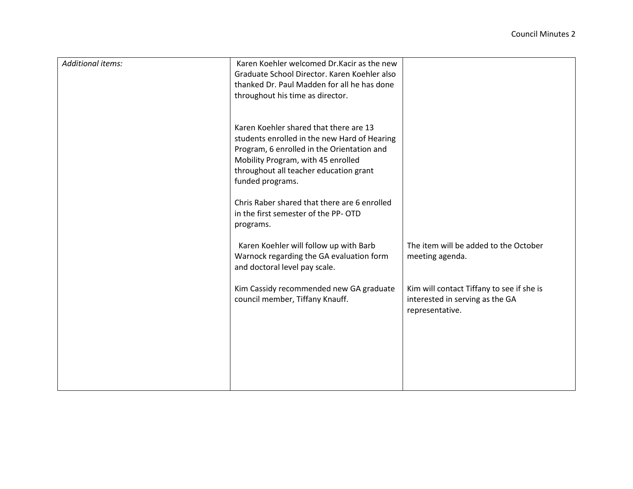| <b>Additional items:</b> | Karen Koehler welcomed Dr. Kacir as the new<br>Graduate School Director. Karen Koehler also<br>thanked Dr. Paul Madden for all he has done<br>throughout his time as director.                                                           |                                                                                                 |
|--------------------------|------------------------------------------------------------------------------------------------------------------------------------------------------------------------------------------------------------------------------------------|-------------------------------------------------------------------------------------------------|
|                          | Karen Koehler shared that there are 13<br>students enrolled in the new Hard of Hearing<br>Program, 6 enrolled in the Orientation and<br>Mobility Program, with 45 enrolled<br>throughout all teacher education grant<br>funded programs. |                                                                                                 |
|                          | Chris Raber shared that there are 6 enrolled<br>in the first semester of the PP-OTD<br>programs.                                                                                                                                         |                                                                                                 |
|                          | Karen Koehler will follow up with Barb<br>Warnock regarding the GA evaluation form<br>and doctoral level pay scale.                                                                                                                      | The item will be added to the October<br>meeting agenda.                                        |
|                          | Kim Cassidy recommended new GA graduate<br>council member, Tiffany Knauff.                                                                                                                                                               | Kim will contact Tiffany to see if she is<br>interested in serving as the GA<br>representative. |
|                          |                                                                                                                                                                                                                                          |                                                                                                 |
|                          |                                                                                                                                                                                                                                          |                                                                                                 |